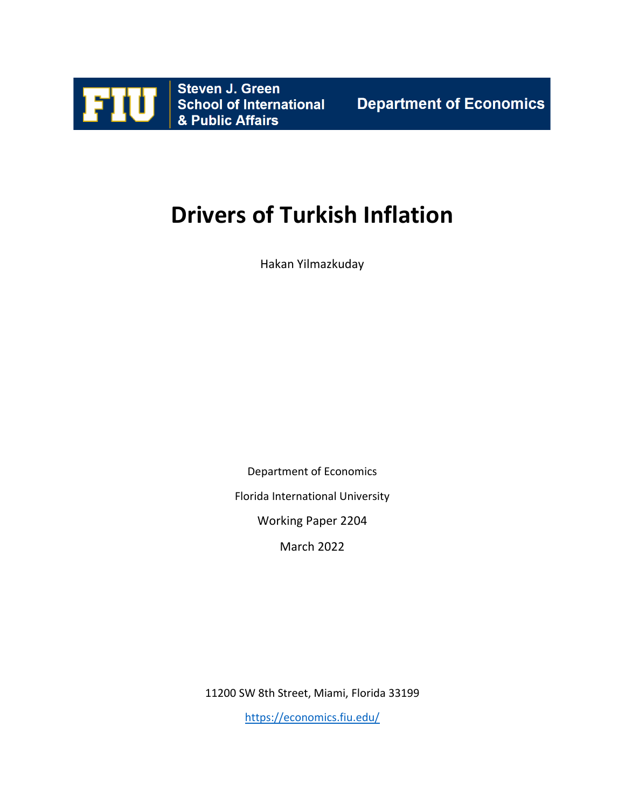

# **Drivers of Turkish Inflation**

Hakan Yilmazkuday

Department of Economics Florida International University Working Paper 2204

March 2022

11200 SW 8th Street, Miami, Florida 33199

<https://economics.fiu.edu/>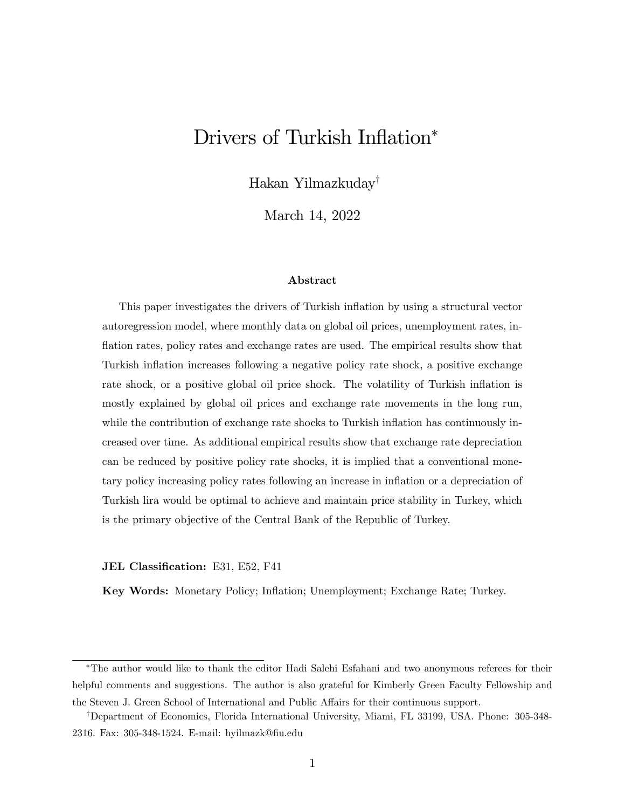## Drivers of Turkish Inflation\*

Hakan Yilmazkuday<sup>†</sup>

March 14, 2022

#### Abstract

This paper investigates the drivers of Turkish inflation by using a structural vector autoregression model, where monthly data on global oil prices, unemployment rates, inflation rates, policy rates and exchange rates are used. The empirical results show that Turkish inflation increases following a negative policy rate shock, a positive exchange rate shock, or a positive global oil price shock. The volatility of Turkish inflation is mostly explained by global oil prices and exchange rate movements in the long run, while the contribution of exchange rate shocks to Turkish inflation has continuously increased over time. As additional empirical results show that exchange rate depreciation can be reduced by positive policy rate shocks, it is implied that a conventional monetary policy increasing policy rates following an increase in ináation or a depreciation of Turkish lira would be optimal to achieve and maintain price stability in Turkey, which is the primary objective of the Central Bank of the Republic of Turkey.

#### JEL Classification: E31, E52, F41

Key Words: Monetary Policy; Ináation; Unemployment; Exchange Rate; Turkey.

The author would like to thank the editor Hadi Salehi Esfahani and two anonymous referees for their helpful comments and suggestions. The author is also grateful for Kimberly Green Faculty Fellowship and the Steven J. Green School of International and Public Affairs for their continuous support.

<sup>&</sup>lt;sup>†</sup>Department of Economics, Florida International University, Miami, FL 33199, USA. Phone: 305-348-2316. Fax: 305-348-1524. E-mail: hyilmazk@Öu.edu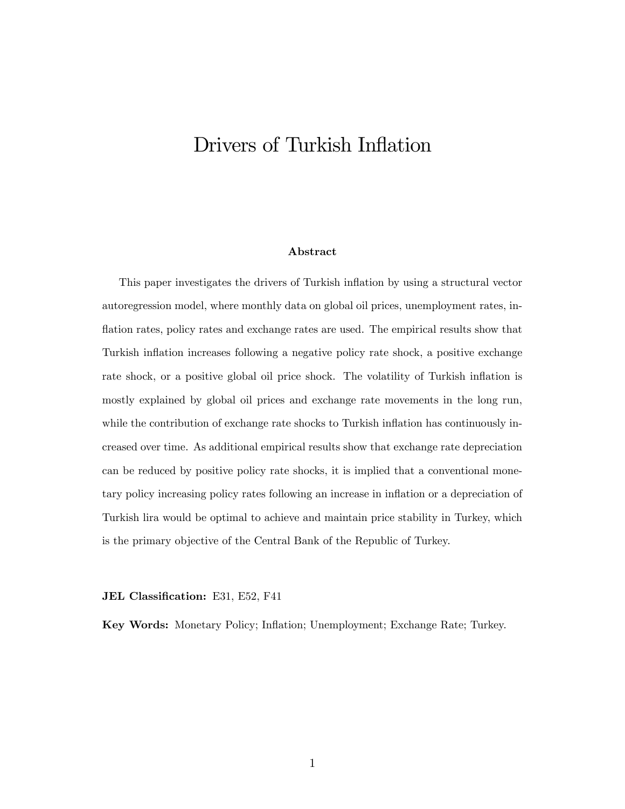## <span id="page-2-0"></span>Drivers of Turkish Inflation

#### Abstract

This paper investigates the drivers of Turkish ináation by using a structural vector autoregression model, where monthly data on global oil prices, unemployment rates, inflation rates, policy rates and exchange rates are used. The empirical results show that Turkish inflation increases following a negative policy rate shock, a positive exchange rate shock, or a positive global oil price shock. The volatility of Turkish inflation is mostly explained by global oil prices and exchange rate movements in the long run, while the contribution of exchange rate shocks to Turkish inflation has continuously increased over time. As additional empirical results show that exchange rate depreciation can be reduced by positive policy rate shocks, it is implied that a conventional monetary policy increasing policy rates following an increase in inflation or a depreciation of Turkish lira would be optimal to achieve and maintain price stability in Turkey, which is the primary objective of the Central Bank of the Republic of Turkey.

JEL Classification: E31, E52, F41

Key Words: Monetary Policy; Ináation; Unemployment; Exchange Rate; Turkey.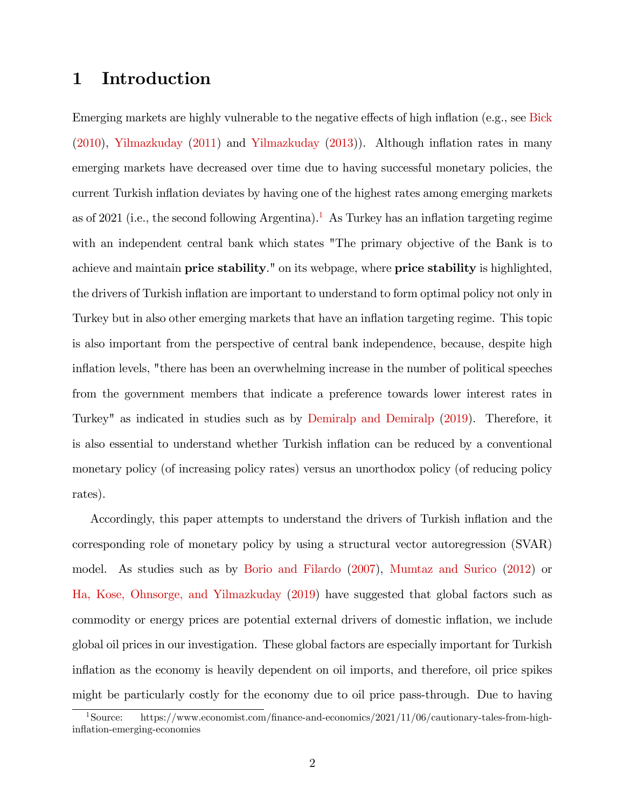### 1 Introduction

Emerging markets are highly vulnerable to the negative effects of high inflation (e.g., see [Bick](#page-18-0)  $(2010)$ , [Yilmazkuday](#page-22-1)  $(2011)$  and Yilmazkuday  $(2013)$ ). Although inflation rates in many emerging markets have decreased over time due to having successful monetary policies, the current Turkish ináation deviates by having one of the highest rates among emerging markets as of 202[1](#page-2-0) (i.e., the second following Argentina).<sup>1</sup> As Turkey has an inflation targeting regime with an independent central bank which states "The primary objective of the Bank is to achieve and maintain **price stability**." on its webpage, where **price stability** is highlighted, the drivers of Turkish inflation are important to understand to form optimal policy not only in Turkey but in also other emerging markets that have an inflation targeting regime. This topic is also important from the perspective of central bank independence, because, despite high inflation levels, "there has been an overwhelming increase in the number of political speeches from the government members that indicate a preference towards lower interest rates in Turkey" as indicated in studies such as by [Demiralp and Demiralp](#page-19-0) [\(2019\)](#page-19-0). Therefore, it is also essential to understand whether Turkish ináation can be reduced by a conventional monetary policy (of increasing policy rates) versus an unorthodox policy (of reducing policy rates).

Accordingly, this paper attempts to understand the drivers of Turkish inflation and the corresponding role of monetary policy by using a structural vector autoregression (SVAR) model. As studies such as by [Borio and Filardo](#page-18-1) [\(2007\)](#page-18-1), [Mumtaz and Surico](#page-21-0) [\(2012\)](#page-21-0) or [Ha, Kose, Ohnsorge, and Yilmazkuday](#page-20-0) [\(2019\)](#page-20-0) have suggested that global factors such as commodity or energy prices are potential external drivers of domestic inflation, we include global oil prices in our investigation. These global factors are especially important for Turkish inflation as the economy is heavily dependent on oil imports, and therefore, oil price spikes might be particularly costly for the economy due to oil price pass-through. Due to having

<sup>&</sup>lt;sup>1</sup>Source: https://www.economist.com/finance-and-economics/2021/11/06/cautionary-tales-from-highinflation-emerging-economies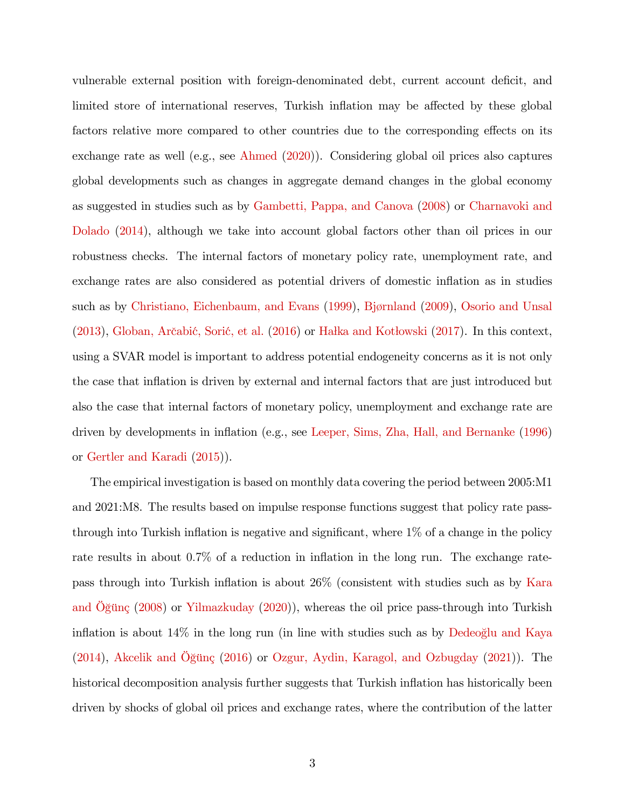vulnerable external position with foreign-denominated debt, current account deficit, and limited store of international reserves, Turkish inflation may be affected by these global factors relative more compared to other countries due to the corresponding effects on its exchange rate as well (e.g., see [Ahmed](#page-18-2) [\(2020\)](#page-18-2)). Considering global oil prices also captures global developments such as changes in aggregate demand changes in the global economy as suggested in studies such as by [Gambetti, Pappa, and Canova](#page-19-1) [\(2008\)](#page-19-1) or [Charnavoki and](#page-19-2) [Dolado](#page-19-2) [\(2014\)](#page-19-2), although we take into account global factors other than oil prices in our robustness checks. The internal factors of monetary policy rate, unemployment rate, and exchange rates are also considered as potential drivers of domestic inflation as in studies such as by [Christiano, Eichenbaum, and Evans](#page-19-3) [\(1999\)](#page-19-3), Bjørnland [\(2009\)](#page-18-3), [Osorio and Unsal](#page-21-1)  $(2013)$ , Globan, Arčabić, Sorić, et al.  $(2016)$  or Hałka and Kotłowski  $(2017)$ . In this context, using a SVAR model is important to address potential endogeneity concerns as it is not only the case that inflation is driven by external and internal factors that are just introduced but also the case that internal factors of monetary policy, unemployment and exchange rate are driven by developments in ináation (e.g., see [Leeper, Sims, Zha, Hall, and Bernanke](#page-20-3) [\(1996\)](#page-20-3) or [Gertler and Karadi](#page-20-4) [\(2015\)](#page-20-4)).

The empirical investigation is based on monthly data covering the period between 2005:M1 and 2021:M8. The results based on impulse response functions suggest that policy rate passthrough into Turkish inflation is negative and significant, where  $1\%$  of a change in the policy rate results in about  $0.7\%$  of a reduction in inflation in the long run. The exchange ratepass through into Turkish inflation is about  $26\%$  (consistent with studies such as by [Kara](#page-20-5) and  $\overline{\text{Og}}$ ünç [\(2008\)](#page-20-5) or [Yilmazkuday](#page-22-2) [\(2020\)](#page-22-2)), whereas the oil price pass-through into Turkish inflation is about  $14\%$  in the long run (in line with studies such as by [Dedeoglu and Kaya](#page-19-4)  $(2014)$ , Akcelik and Oğünç  $(2016)$  or [Ozgur, Aydin, Karagol, and Ozbugday](#page-21-2)  $(2021)$ ). The historical decomposition analysis further suggests that Turkish inflation has historically been driven by shocks of global oil prices and exchange rates, where the contribution of the latter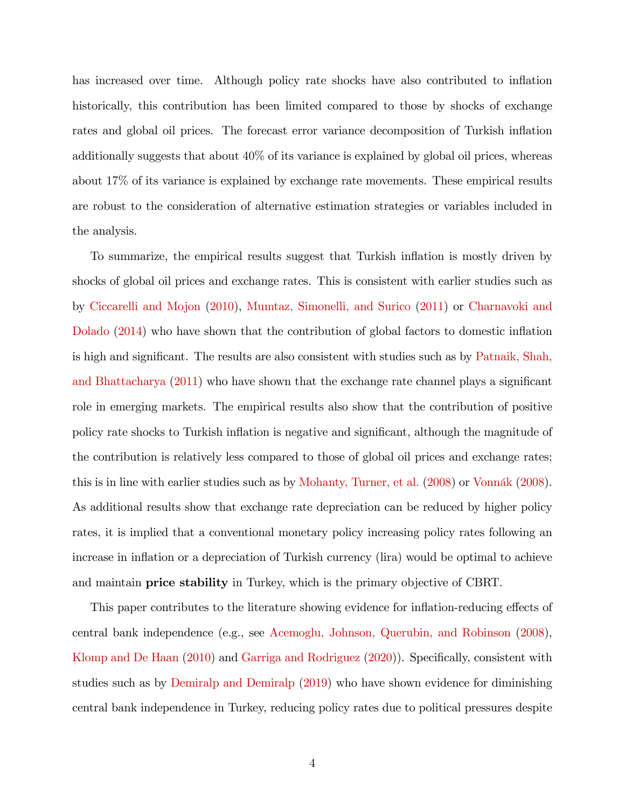has increased over time. Although policy rate shocks have also contributed to inflation historically, this contribution has been limited compared to those by shocks of exchange rates and global oil prices. The forecast error variance decomposition of Turkish inflation additionally suggests that about 40% of its variance is explained by global oil prices, whereas about 17% of its variance is explained by exchange rate movements. These empirical results are robust to the consideration of alternative estimation strategies or variables included in the analysis.

To summarize, the empirical results suggest that Turkish ináation is mostly driven by shocks of global oil prices and exchange rates. This is consistent with earlier studies such as by [Ciccarelli and Mojon](#page-19-5) [\(2010\)](#page-19-5), [Mumtaz, Simonelli, and Surico](#page-21-3) [\(2011\)](#page-21-3) or [Charnavoki and](#page-19-2) [Dolado](#page-19-2) [\(2014\)](#page-19-2) who have shown that the contribution of global factors to domestic inflation is high and significant. The results are also consistent with studies such as by [Patnaik, Shah,](#page-22-3) [and Bhattacharya](#page-22-3)  $(2011)$  who have shown that the exchange rate channel plays a significant role in emerging markets. The empirical results also show that the contribution of positive policy rate shocks to Turkish inflation is negative and significant, although the magnitude of the contribution is relatively less compared to those of global oil prices and exchange rates; this is in line with earlier studies such as by [Mohanty, Turner, et al.](#page-21-4) [\(2008\)](#page-22-4) or Vonnák (2008). As additional results show that exchange rate depreciation can be reduced by higher policy rates, it is implied that a conventional monetary policy increasing policy rates following an increase in inflation or a depreciation of Turkish currency (lira) would be optimal to achieve and maintain **price stability** in Turkey, which is the primary objective of CBRT.

This paper contributes to the literature showing evidence for inflation-reducing effects of central bank independence (e.g., see [Acemoglu, Johnson, Querubin, and Robinson](#page-18-5) [\(2008\)](#page-18-5), [Klomp and De Haan](#page-20-6)  $(2010)$  and [Garriga and Rodriguez](#page-19-6)  $(2020)$ ). Specifically, consistent with studies such as by [Demiralp and Demiralp](#page-19-0) [\(2019\)](#page-19-0) who have shown evidence for diminishing central bank independence in Turkey, reducing policy rates due to political pressures despite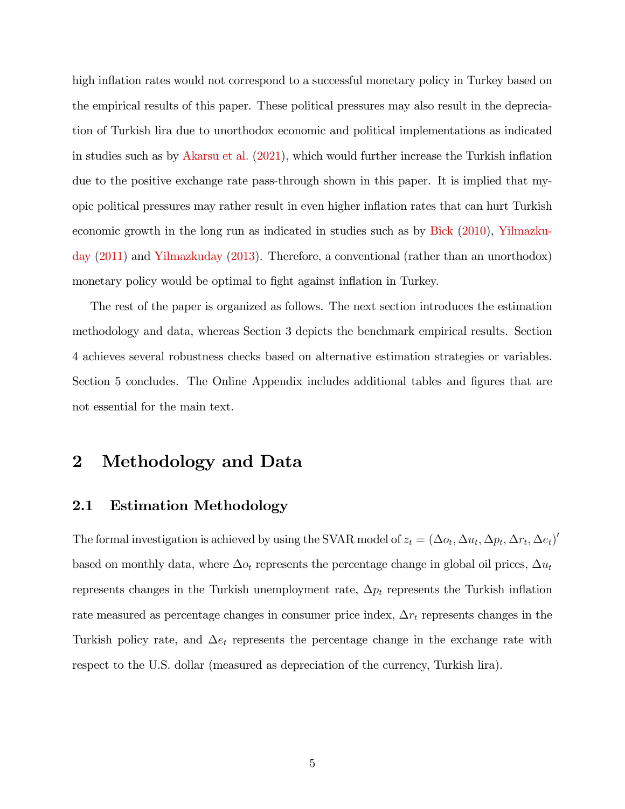high inflation rates would not correspond to a successful monetary policy in Turkey based on the empirical results of this paper. These political pressures may also result in the depreciation of Turkish lira due to unorthodox economic and political implementations as indicated in studies such as by [Akarsu et al.](#page-18-6)  $(2021)$ , which would further increase the Turkish inflation due to the positive exchange rate pass-through shown in this paper. It is implied that myopic political pressures may rather result in even higher ináation rates that can hurt Turkish economic growth in the long run as indicated in studies such as by [Bick](#page-18-0) [\(2010\)](#page-18-0), [Yilmazku](#page-22-0)[day](#page-22-0) [\(2011\)](#page-22-0) and [Yilmazkuday](#page-22-1) [\(2013\)](#page-22-1). Therefore, a conventional (rather than an unorthodox) monetary policy would be optimal to fight against inflation in Turkey.

The rest of the paper is organized as follows. The next section introduces the estimation methodology and data, whereas Section 3 depicts the benchmark empirical results. Section 4 achieves several robustness checks based on alternative estimation strategies or variables. Section 5 concludes. The Online Appendix includes additional tables and figures that are not essential for the main text.

### 2 Methodology and Data

#### 2.1 Estimation Methodology

The formal investigation is achieved by using the SVAR model of  $z_t = (\Delta o_t, \Delta u_t, \Delta p_t, \Delta r_t, \Delta e_t)'$ based on monthly data, where  $\Delta o_t$  represents the percentage change in global oil prices,  $\Delta u_t$ represents changes in the Turkish unemployment rate,  $\Delta p_t$  represents the Turkish inflation rate measured as percentage changes in consumer price index,  $\Delta r_t$  represents changes in the Turkish policy rate, and  $\Delta e_t$  represents the percentage change in the exchange rate with respect to the U.S. dollar (measured as depreciation of the currency, Turkish lira).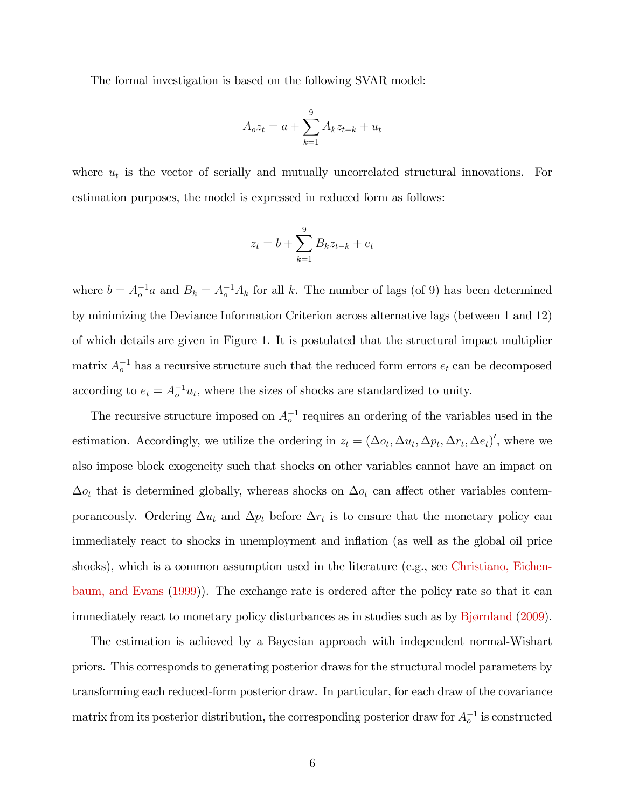The formal investigation is based on the following SVAR model:

$$
A_o z_t = a + \sum_{k=1}^{9} A_k z_{t-k} + u_t
$$

where  $u_t$  is the vector of serially and mutually uncorrelated structural innovations. For estimation purposes, the model is expressed in reduced form as follows:

$$
z_t = b + \sum_{k=1}^{9} B_k z_{t-k} + e_t
$$

where  $b = A_o^{-1}a$  and  $B_k = A_o^{-1}A_k$  for all k. The number of lags (of 9) has been determined by minimizing the Deviance Information Criterion across alternative lags (between 1 and 12) of which details are given in Figure 1. It is postulated that the structural impact multiplier matrix  $A_o^{-1}$  has a recursive structure such that the reduced form errors  $e_t$  can be decomposed according to  $e_t = A_o^{-1} u_t$ , where the sizes of shocks are standardized to unity.

The recursive structure imposed on  $A_o^{-1}$  requires an ordering of the variables used in the estimation. Accordingly, we utilize the ordering in  $z_t = (\Delta o_t, \Delta u_t, \Delta p_t, \Delta r_t, \Delta e_t)'$ , where we also impose block exogeneity such that shocks on other variables cannot have an impact on  $\Delta o_t$  that is determined globally, whereas shocks on  $\Delta o_t$  can affect other variables contemporaneously. Ordering  $\Delta u_t$  and  $\Delta p_t$  before  $\Delta r_t$  is to ensure that the monetary policy can immediately react to shocks in unemployment and inflation (as well as the global oil price shocks), which is a common assumption used in the literature (e.g., see [Christiano, Eichen](#page-19-3)[baum, and Evans](#page-19-3) [\(1999\)](#page-19-3)). The exchange rate is ordered after the policy rate so that it can immediately react to monetary policy disturbances as in studies such as by Bjørnland [\(2009\)](#page-18-3).

The estimation is achieved by a Bayesian approach with independent normal-Wishart priors. This corresponds to generating posterior draws for the structural model parameters by transforming each reduced-form posterior draw. In particular, for each draw of the covariance matrix from its posterior distribution, the corresponding posterior draw for  $A_o^{-1}$  is constructed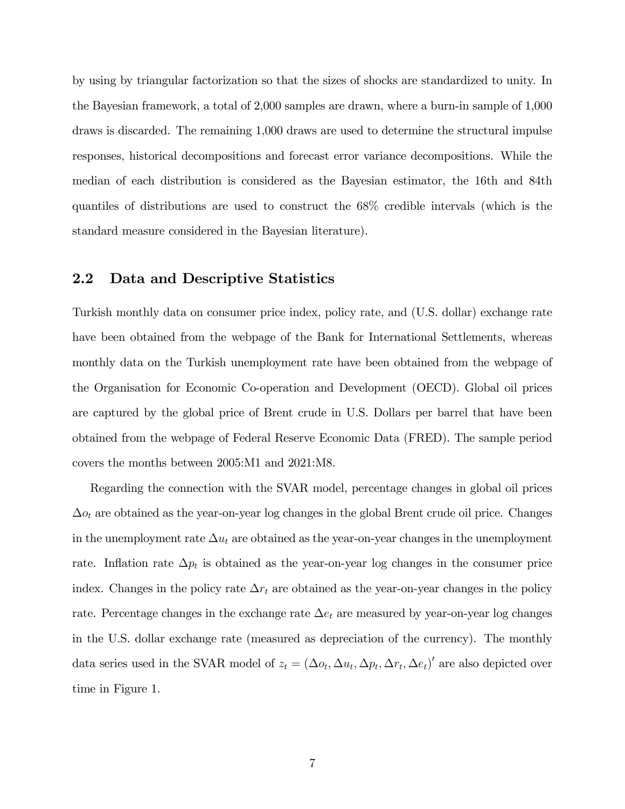by using by triangular factorization so that the sizes of shocks are standardized to unity. In the Bayesian framework, a total of 2,000 samples are drawn, where a burn-in sample of 1,000 draws is discarded. The remaining 1,000 draws are used to determine the structural impulse responses, historical decompositions and forecast error variance decompositions. While the median of each distribution is considered as the Bayesian estimator, the 16th and 84th quantiles of distributions are used to construct the 68% credible intervals (which is the standard measure considered in the Bayesian literature).

#### 2.2 Data and Descriptive Statistics

Turkish monthly data on consumer price index, policy rate, and (U.S. dollar) exchange rate have been obtained from the webpage of the Bank for International Settlements, whereas monthly data on the Turkish unemployment rate have been obtained from the webpage of the Organisation for Economic Co-operation and Development (OECD). Global oil prices are captured by the global price of Brent crude in U.S. Dollars per barrel that have been obtained from the webpage of Federal Reserve Economic Data (FRED). The sample period covers the months between 2005:M1 and 2021:M8.

Regarding the connection with the SVAR model, percentage changes in global oil prices  $\Delta o_t$  are obtained as the year-on-year log changes in the global Brent crude oil price. Changes in the unemployment rate  $\Delta u_t$  are obtained as the year-on-year changes in the unemployment rate. Inflation rate  $\Delta p_t$  is obtained as the year-on-year log changes in the consumer price index. Changes in the policy rate  $\Delta r_t$  are obtained as the year-on-year changes in the policy rate. Percentage changes in the exchange rate  $\Delta e_t$  are measured by year-on-year log changes in the U.S. dollar exchange rate (measured as depreciation of the currency). The monthly data series used in the SVAR model of  $z_t = (\Delta o_t, \Delta u_t, \Delta p_t, \Delta r_t, \Delta e_t)'$  are also depicted over time in Figure 1.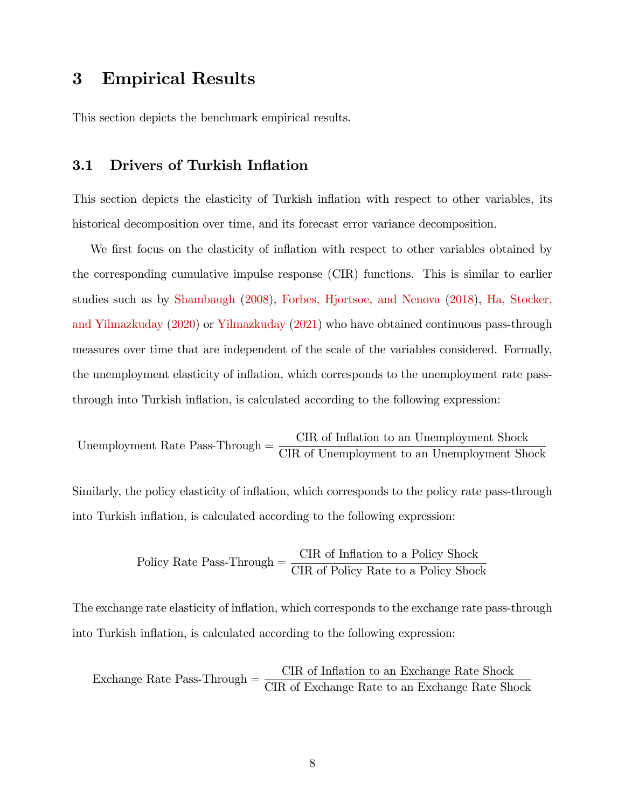### 3 Empirical Results

This section depicts the benchmark empirical results.

#### 3.1 Drivers of Turkish Inflation

This section depicts the elasticity of Turkish inflation with respect to other variables, its historical decomposition over time, and its forecast error variance decomposition.

We first focus on the elasticity of inflation with respect to other variables obtained by the corresponding cumulative impulse response (CIR) functions. This is similar to earlier studies such as by [Shambaugh](#page-22-5) [\(2008\)](#page-22-5), [Forbes, Hjortsoe, and Nenova](#page-19-7) [\(2018\)](#page-19-7), [Ha, Stocker,](#page-20-7) [and Yilmazkuday](#page-20-7) [\(2020\)](#page-20-7) or [Yilmazkuday](#page-22-6) [\(2021\)](#page-22-6) who have obtained continuous pass-through measures over time that are independent of the scale of the variables considered. Formally, the unemployment elasticity of inflation, which corresponds to the unemployment rate passthrough into Turkish ináation, is calculated according to the following expression:

Unemployedment Rate Pass-Through 
$$
=
$$
  $\frac{\text{CIR of Inflation to an Un employment Shock}}{\text{CIR of Unemployedment to an Un employment Shock}}$ 

Similarly, the policy elasticity of inflation, which corresponds to the policy rate pass-through into Turkish inflation, is calculated according to the following expression:

$$
Policy Rate Pass-Through = \frac{CIR \text{ of Inflation to a Policy Shock}}{CIR \text{ of Policy Rate to a Policy Shock}}
$$

The exchange rate elasticity of inflation, which corresponds to the exchange rate pass-through into Turkish inflation, is calculated according to the following expression:

Exchange Rate Pass-Through  $=\,$ CIR of Inflation to an Exchange Rate Shock CIR of Exchange Rate to an Exchange Rate Shock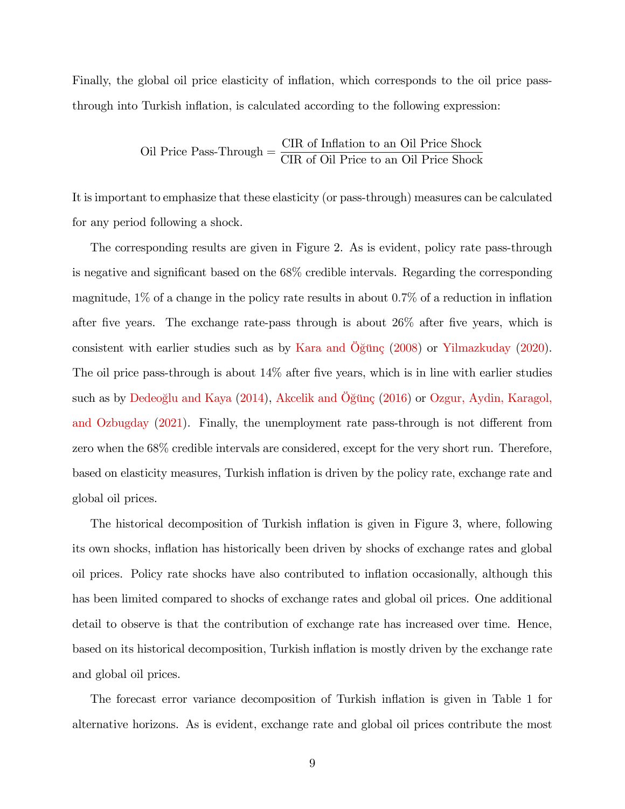Finally, the global oil price elasticity of inflation, which corresponds to the oil price passthrough into Turkish ináation, is calculated according to the following expression:

$$
Oil Price Pass-Through = \frac{CIR \text{ of Inflation to an Oil Price Shock}}{CIR \text{ of Oil Price to an Oil Price Shock}}
$$

It is important to emphasize that these elasticity (or pass-through) measures can be calculated for any period following a shock.

The corresponding results are given in Figure 2. As is evident, policy rate pass-through is negative and significant based on the  $68\%$  credible intervals. Regarding the corresponding magnitude,  $1\%$  of a change in the policy rate results in about 0.7% of a reduction in inflation after five years. The exchange rate-pass through is about  $26\%$  after five years, which is consistent with earlier studies such as by Kara and Öğünç  $(2008)$  or [Yilmazkuday](#page-22-2)  $(2020)$ . The oil price pass-through is about  $14\%$  after five years, which is in line with earlier studies such as by [Dedeoglu and Kaya](#page-19-4)  $(2014)$ , Akcelik and Öğün $\varsigma$   $(2016)$  or [Ozgur, Aydin, Karagol,](#page-21-2) [and Ozbugday](#page-21-2)  $(2021)$ . Finally, the unemployment rate pass-through is not different from zero when the 68% credible intervals are considered, except for the very short run. Therefore, based on elasticity measures, Turkish inflation is driven by the policy rate, exchange rate and global oil prices.

The historical decomposition of Turkish inflation is given in Figure 3, where, following its own shocks, ináation has historically been driven by shocks of exchange rates and global oil prices. Policy rate shocks have also contributed to ináation occasionally, although this has been limited compared to shocks of exchange rates and global oil prices. One additional detail to observe is that the contribution of exchange rate has increased over time. Hence, based on its historical decomposition, Turkish ináation is mostly driven by the exchange rate and global oil prices.

The forecast error variance decomposition of Turkish inflation is given in Table 1 for alternative horizons. As is evident, exchange rate and global oil prices contribute the most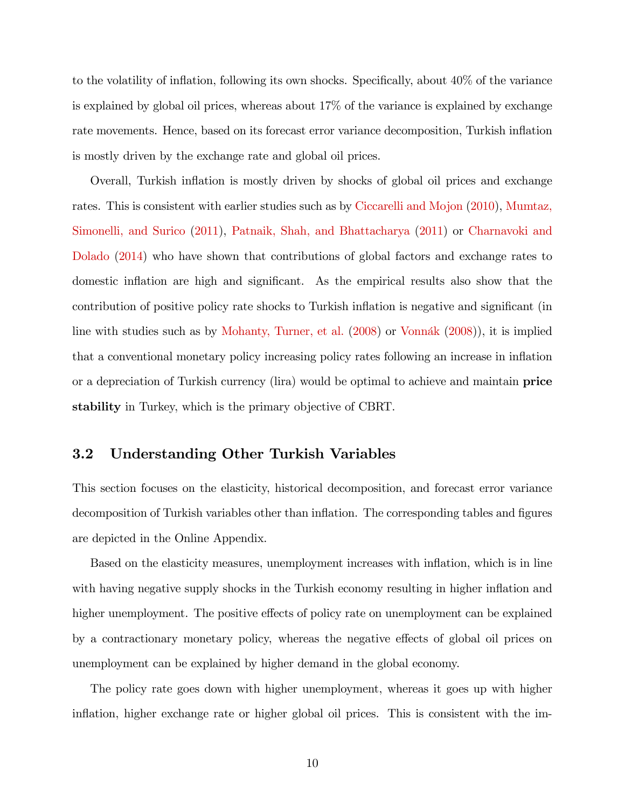to the volatility of inflation, following its own shocks. Specifically, about  $40\%$  of the variance is explained by global oil prices, whereas about 17% of the variance is explained by exchange rate movements. Hence, based on its forecast error variance decomposition, Turkish ináation is mostly driven by the exchange rate and global oil prices.

Overall, Turkish ináation is mostly driven by shocks of global oil prices and exchange rates. This is consistent with earlier studies such as by [Ciccarelli and Mojon](#page-19-5) [\(2010\)](#page-19-5), [Mumtaz,](#page-21-3) [Simonelli, and Surico](#page-21-3) [\(2011\)](#page-21-3), [Patnaik, Shah, and Bhattacharya](#page-22-3) [\(2011\)](#page-22-3) or [Charnavoki and](#page-19-2) [Dolado](#page-19-2) [\(2014\)](#page-19-2) who have shown that contributions of global factors and exchange rates to domestic inflation are high and significant. As the empirical results also show that the contribution of positive policy rate shocks to Turkish inflation is negative and significant (in line with studies such as by [Mohanty, Turner, et al.](#page-21-4)  $(2008)$  or Vonnák  $(2008)$ , it is implied that a conventional monetary policy increasing policy rates following an increase in ináation or a depreciation of Turkish currency (lira) would be optimal to achieve and maintain **price** stability in Turkey, which is the primary objective of CBRT.

#### 3.2 Understanding Other Turkish Variables

This section focuses on the elasticity, historical decomposition, and forecast error variance decomposition of Turkish variables other than inflation. The corresponding tables and figures are depicted in the Online Appendix.

Based on the elasticity measures, unemployment increases with ináation, which is in line with having negative supply shocks in the Turkish economy resulting in higher inflation and higher unemployment. The positive effects of policy rate on unemployment can be explained by a contractionary monetary policy, whereas the negative effects of global oil prices on unemployment can be explained by higher demand in the global economy.

The policy rate goes down with higher unemployment, whereas it goes up with higher inflation, higher exchange rate or higher global oil prices. This is consistent with the im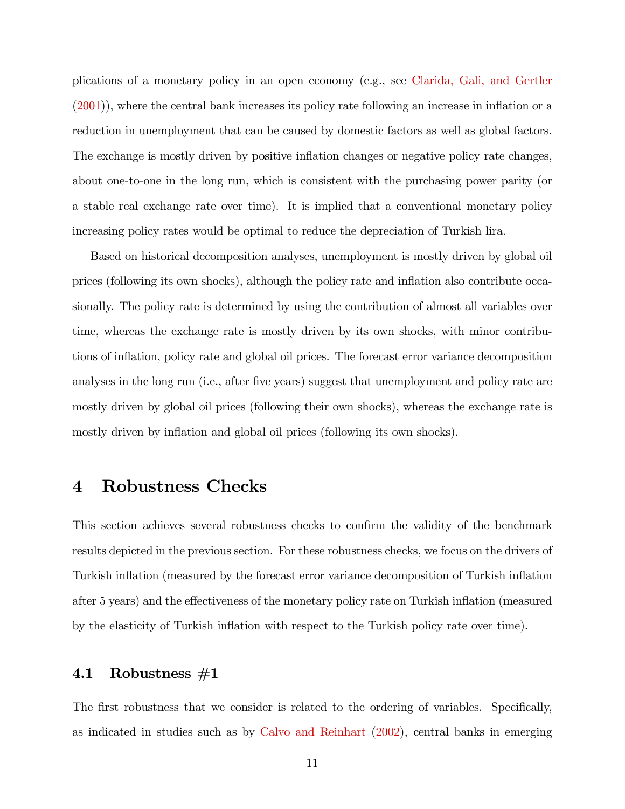plications of a monetary policy in an open economy (e.g., see [Clarida, Gali, and Gertler](#page-19-8)  $(2001)$ , where the central bank increases its policy rate following an increase in inflation or a reduction in unemployment that can be caused by domestic factors as well as global factors. The exchange is mostly driven by positive inflation changes or negative policy rate changes, about one-to-one in the long run, which is consistent with the purchasing power parity (or a stable real exchange rate over time). It is implied that a conventional monetary policy increasing policy rates would be optimal to reduce the depreciation of Turkish lira.

Based on historical decomposition analyses, unemployment is mostly driven by global oil prices (following its own shocks), although the policy rate and ináation also contribute occasionally. The policy rate is determined by using the contribution of almost all variables over time, whereas the exchange rate is mostly driven by its own shocks, with minor contributions of inflation, policy rate and global oil prices. The forecast error variance decomposition analyses in the long run (i.e., after five years) suggest that unemployment and policy rate are mostly driven by global oil prices (following their own shocks), whereas the exchange rate is mostly driven by inflation and global oil prices (following its own shocks).

### 4 Robustness Checks

This section achieves several robustness checks to confirm the validity of the benchmark results depicted in the previous section. For these robustness checks, we focus on the drivers of Turkish inflation (measured by the forecast error variance decomposition of Turkish inflation after 5 years) and the effectiveness of the monetary policy rate on Turkish inflation (measured by the elasticity of Turkish ináation with respect to the Turkish policy rate over time).

#### 4.1 Robustness #1

The first robustness that we consider is related to the ordering of variables. Specifically, as indicated in studies such as by [Calvo and Reinhart](#page-19-9) [\(2002\)](#page-19-9), central banks in emerging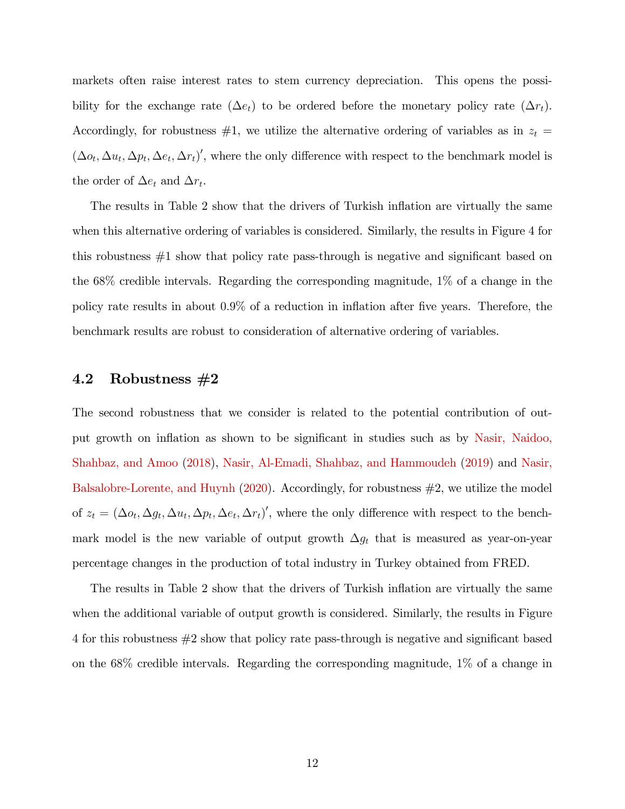markets often raise interest rates to stem currency depreciation. This opens the possibility for the exchange rate  $(\Delta e_t)$  to be ordered before the monetary policy rate  $(\Delta r_t)$ . Accordingly, for robustness  $#1$ , we utilize the alternative ordering of variables as in  $z_t =$  $(\Delta o_t, \Delta u_t, \Delta p_t, \Delta e_t, \Delta r_t)'$ , where the only difference with respect to the benchmark model is the order of  $\Delta e_t$  and  $\Delta r_t$ .

The results in Table 2 show that the drivers of Turkish inflation are virtually the same when this alternative ordering of variables is considered. Similarly, the results in Figure 4 for this robustness  $#1$  show that policy rate pass-through is negative and significant based on the 68% credible intervals. Regarding the corresponding magnitude, 1% of a change in the policy rate results in about  $0.9\%$  of a reduction in inflation after five years. Therefore, the benchmark results are robust to consideration of alternative ordering of variables.

#### 4.2 Robustness #2

The second robustness that we consider is related to the potential contribution of out-put growth on inflation as shown to be significant in studies such as by [Nasir, Naidoo,](#page-21-5) [Shahbaz, and Amoo](#page-21-5) [\(2018\)](#page-21-5), [Nasir, Al-Emadi, Shahbaz, and Hammoudeh](#page-21-6) [\(2019\)](#page-21-6) and [Nasir,](#page-21-7) [Balsalobre-Lorente, and Huynh](#page-21-7)  $(2020)$ . Accordingly, for robustness  $\#2$ , we utilize the model of  $z_t = (\Delta o_t, \Delta g_t, \Delta u_t, \Delta p_t, \Delta e_t, \Delta r_t)'$ , where the only difference with respect to the benchmark model is the new variable of output growth  $\Delta g_t$  that is measured as year-on-year percentage changes in the production of total industry in Turkey obtained from FRED.

The results in Table 2 show that the drivers of Turkish inflation are virtually the same when the additional variable of output growth is considered. Similarly, the results in Figure  $4$  for this robustness  $\#2$  show that policy rate pass-through is negative and significant based on the 68% credible intervals. Regarding the corresponding magnitude, 1% of a change in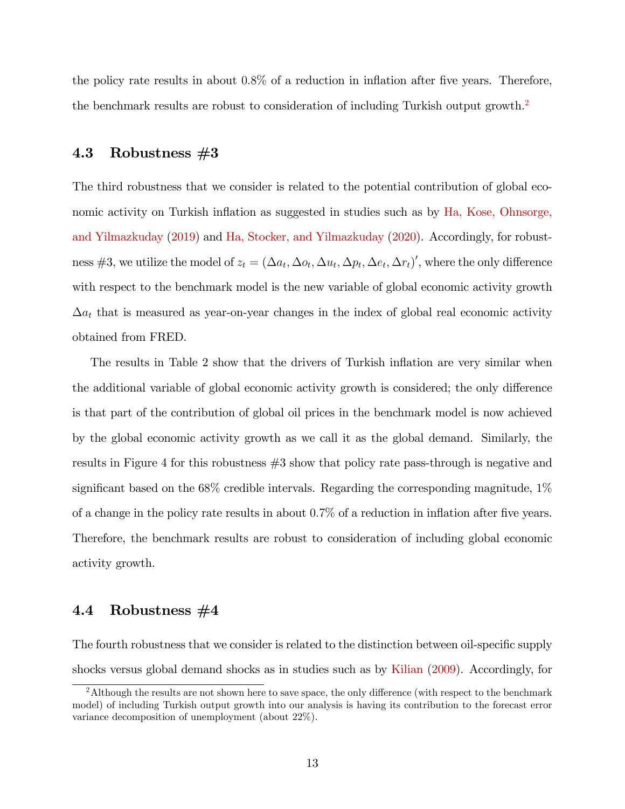the policy rate results in about  $0.8\%$  of a reduction in inflation after five years. Therefore, the benchmark results are robust to consideration of including Turkish output growth.<sup>[2](#page-2-0)</sup>

#### 4.3 Robustness #3

The third robustness that we consider is related to the potential contribution of global eco-nomic activity on Turkish inflation as suggested in studies such as by [Ha, Kose, Ohnsorge,](#page-20-0) [and Yilmazkuday](#page-20-0) [\(2019\)](#page-20-0) and [Ha, Stocker, and Yilmazkuday](#page-20-7) [\(2020\)](#page-20-7). Accordingly, for robustness #3, we utilize the model of  $z_t = (\Delta a_t, \Delta o_t, \Delta u_t, \Delta p_t, \Delta e_t, \Delta r_t)'$ , where the only difference with respect to the benchmark model is the new variable of global economic activity growth  $\Delta a_t$  that is measured as year-on-year changes in the index of global real economic activity obtained from FRED.

The results in Table 2 show that the drivers of Turkish inflation are very similar when the additional variable of global economic activity growth is considered; the only difference is that part of the contribution of global oil prices in the benchmark model is now achieved by the global economic activity growth as we call it as the global demand. Similarly, the results in Figure 4 for this robustness #3 show that policy rate pass-through is negative and significant based on the  $68\%$  credible intervals. Regarding the corresponding magnitude,  $1\%$ of a change in the policy rate results in about  $0.7\%$  of a reduction in inflation after five years. Therefore, the benchmark results are robust to consideration of including global economic activity growth.

#### 4.4 Robustness #4

The fourth robustness that we consider is related to the distinction between oil-specific supply shocks versus global demand shocks as in studies such as by [Kilian](#page-20-8) [\(2009\)](#page-20-8). Accordingly, for

<sup>&</sup>lt;sup>2</sup>Although the results are not shown here to save space, the only difference (with respect to the benchmark model) of including Turkish output growth into our analysis is having its contribution to the forecast error variance decomposition of unemployment (about 22%).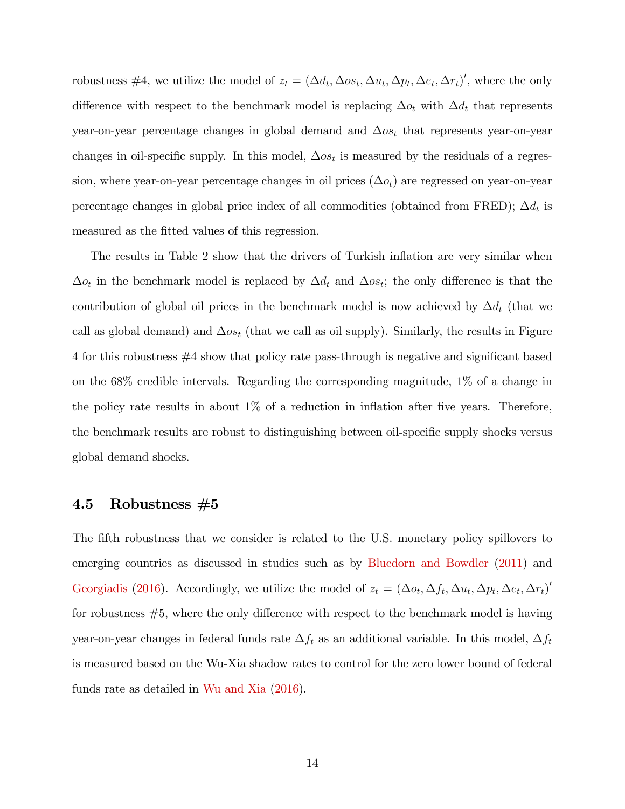robustness #4, we utilize the model of  $z_t = (\Delta d_t, \Delta o s_t, \Delta u_t, \Delta p_t, \Delta e_t, \Delta r_t)'$ , where the only difference with respect to the benchmark model is replacing  $\Delta o_t$  with  $\Delta d_t$  that represents year-on-year percentage changes in global demand and  $\Delta \omega_{s}$  that represents year-on-year changes in oil-specific supply. In this model,  $\Delta os_t$  is measured by the residuals of a regression, where year-on-year percentage changes in oil prices  $(\Delta o_t)$  are regressed on year-on-year percentage changes in global price index of all commodities (obtained from FRED);  $\Delta d_t$  is measured as the fitted values of this regression.

The results in Table 2 show that the drivers of Turkish inflation are very similar when  $\Delta o_t$  in the benchmark model is replaced by  $\Delta d_t$  and  $\Delta o_{s_t}$ ; the only difference is that the contribution of global oil prices in the benchmark model is now achieved by  $\Delta d_t$  (that we call as global demand) and  $\Delta \omega_{t}$  (that we call as oil supply). Similarly, the results in Figure  $4$  for this robustness  $#4$  show that policy rate pass-through is negative and significant based on the 68% credible intervals. Regarding the corresponding magnitude, 1% of a change in the policy rate results in about  $1\%$  of a reduction in inflation after five years. Therefore, the benchmark results are robust to distinguishing between oil-specific supply shocks versus global demand shocks.

#### 4.5 Robustness  $#5$

The fifth robustness that we consider is related to the U.S. monetary policy spillovers to emerging countries as discussed in studies such as by [Bluedorn and Bowdler](#page-18-7) [\(2011\)](#page-18-7) and [Georgiadis](#page-20-9) [\(2016\)](#page-20-9). Accordingly, we utilize the model of  $z_t = (\Delta o_t, \Delta f_t, \Delta u_t, \Delta p_t, \Delta e_t, \Delta r_t)'$ for robustness  $#5$ , where the only difference with respect to the benchmark model is having year-on-year changes in federal funds rate  $\Delta f_t$  as an additional variable. In this model,  $\Delta f_t$ is measured based on the Wu-Xia shadow rates to control for the zero lower bound of federal funds rate as detailed in [Wu and Xia](#page-22-7) [\(2016\)](#page-22-7).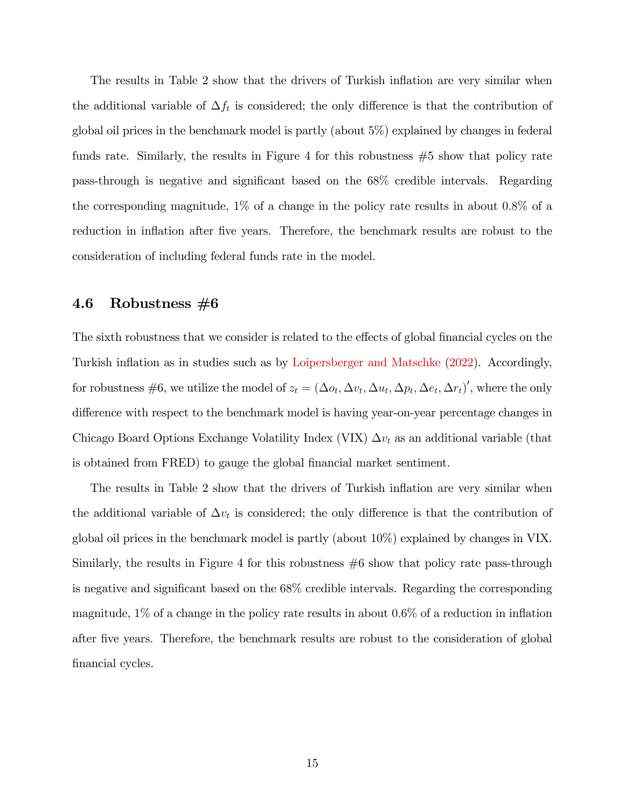The results in Table 2 show that the drivers of Turkish inflation are very similar when the additional variable of  $\Delta f_t$  is considered; the only difference is that the contribution of global oil prices in the benchmark model is partly (about 5%) explained by changes in federal funds rate. Similarly, the results in Figure 4 for this robustness #5 show that policy rate pass-through is negative and significant based on the  $68\%$  credible intervals. Regarding the corresponding magnitude,  $1\%$  of a change in the policy rate results in about  $0.8\%$  of a reduction in inflation after five years. Therefore, the benchmark results are robust to the consideration of including federal funds rate in the model.

#### 4.6 Robustness  $\#6$

The sixth robustness that we consider is related to the effects of global financial cycles on the Turkish inflation as in studies such as by [Loipersberger and Matschke](#page-21-8) [\(2022\)](#page-21-8). Accordingly, for robustness #6, we utilize the model of  $z_t = (\Delta o_t, \Delta v_t, \Delta u_t, \Delta p_t, \Delta e_t, \Delta r_t)'$ , where the only difference with respect to the benchmark model is having year-on-year percentage changes in Chicago Board Options Exchange Volatility Index (VIX)  $\Delta v_t$  as an additional variable (that is obtained from FRED) to gauge the global financial market sentiment.

The results in Table 2 show that the drivers of Turkish inflation are very similar when the additional variable of  $\Delta v_t$  is considered; the only difference is that the contribution of global oil prices in the benchmark model is partly (about 10%) explained by changes in VIX. Similarly, the results in Figure 4 for this robustness #6 show that policy rate pass-through is negative and significant based on the  $68\%$  credible intervals. Regarding the corresponding magnitude,  $1\%$  of a change in the policy rate results in about 0.6% of a reduction in inflation after Öve years. Therefore, the benchmark results are robust to the consideration of global financial cycles.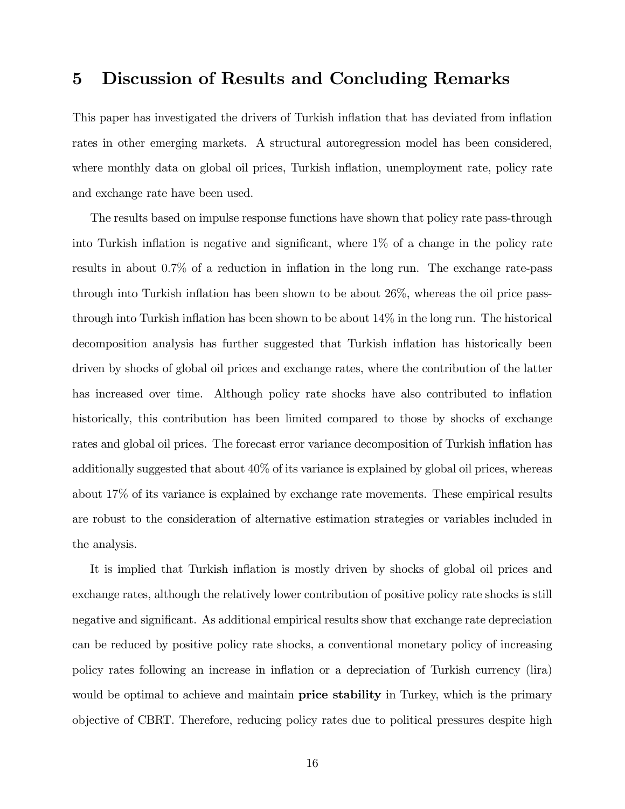### 5 Discussion of Results and Concluding Remarks

This paper has investigated the drivers of Turkish inflation that has deviated from inflation rates in other emerging markets. A structural autoregression model has been considered, where monthly data on global oil prices, Turkish inflation, unemployment rate, policy rate and exchange rate have been used.

The results based on impulse response functions have shown that policy rate pass-through into Turkish inflation is negative and significant, where  $1\%$  of a change in the policy rate results in about  $0.7\%$  of a reduction in inflation in the long run. The exchange rate-pass through into Turkish inflation has been shown to be about  $26\%$ , whereas the oil price passthrough into Turkish inflation has been shown to be about  $14\%$  in the long run. The historical decomposition analysis has further suggested that Turkish inflation has historically been driven by shocks of global oil prices and exchange rates, where the contribution of the latter has increased over time. Although policy rate shocks have also contributed to inflation historically, this contribution has been limited compared to those by shocks of exchange rates and global oil prices. The forecast error variance decomposition of Turkish inflation has additionally suggested that about 40% of its variance is explained by global oil prices, whereas about 17% of its variance is explained by exchange rate movements. These empirical results are robust to the consideration of alternative estimation strategies or variables included in the analysis.

It is implied that Turkish inflation is mostly driven by shocks of global oil prices and exchange rates, although the relatively lower contribution of positive policy rate shocks is still negative and significant. As additional empirical results show that exchange rate depreciation can be reduced by positive policy rate shocks, a conventional monetary policy of increasing policy rates following an increase in ináation or a depreciation of Turkish currency (lira) would be optimal to achieve and maintain **price stability** in Turkey, which is the primary objective of CBRT. Therefore, reducing policy rates due to political pressures despite high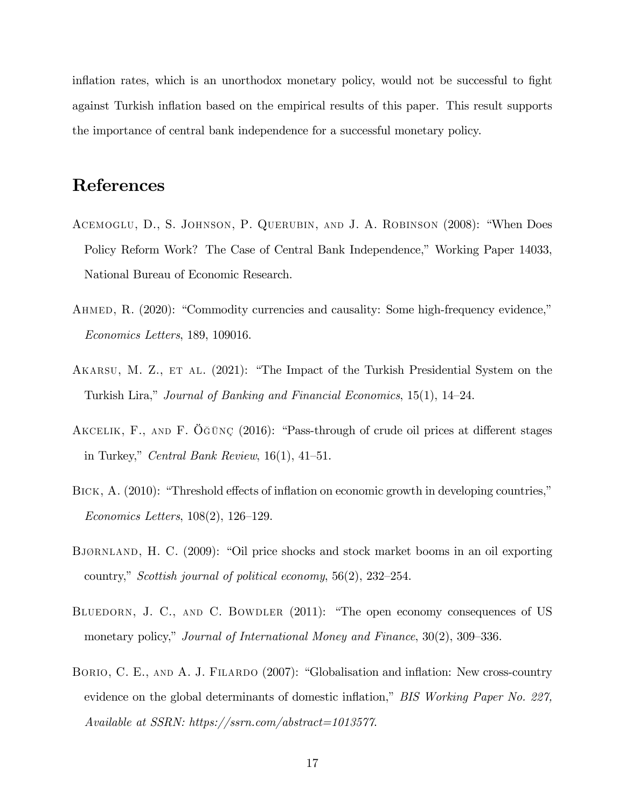inflation rates, which is an unorthodox monetary policy, would not be successful to fight against Turkish inflation based on the empirical results of this paper. This result supports the importance of central bank independence for a successful monetary policy.

### References

- <span id="page-18-5"></span>ACEMOGLU, D., S. JOHNSON, P. QUERUBIN, AND J. A. ROBINSON (2008): "When Does Policy Reform Work? The Case of Central Bank Independence," Working Paper 14033, National Bureau of Economic Research.
- <span id="page-18-2"></span>AHMED, R. (2020): "Commodity currencies and causality: Some high-frequency evidence," Economics Letters, 189, 109016.
- <span id="page-18-6"></span>AKARSU, M. Z., ET AL. (2021): "The Impact of the Turkish Presidential System on the Turkish Lira," Journal of Banking and Financial Economics, 15(1), 14–24.
- <span id="page-18-4"></span>AKCELIK, F., AND F.  $\ddot{O}$ GÜNÇ (2016): "Pass-through of crude oil prices at different stages in Turkey," Central Bank Review,  $16(1)$ ,  $41-51$ .
- <span id="page-18-0"></span>BICK, A. (2010): "Threshold effects of inflation on economic growth in developing countries,"  $Economics Letters, 108(2), 126-129.$
- <span id="page-18-3"></span>BJØRNLAND, H. C. (2009): "Oil price shocks and stock market booms in an oil exporting country," Scottish journal of political economy,  $56(2)$ ,  $232-254$ .
- <span id="page-18-7"></span>BLUEDORN, J. C., AND C. BOWDLER (2011): "The open economy consequences of US monetary policy," Journal of International Money and Finance,  $30(2)$ ,  $309-336$ .
- <span id="page-18-1"></span>BORIO, C. E., AND A. J. FILARDO (2007): "Globalisation and inflation: New cross-country evidence on the global determinants of domestic inflation," BIS Working Paper No. 227, Available at SSRN: https://ssrn.com/abstract=1013577.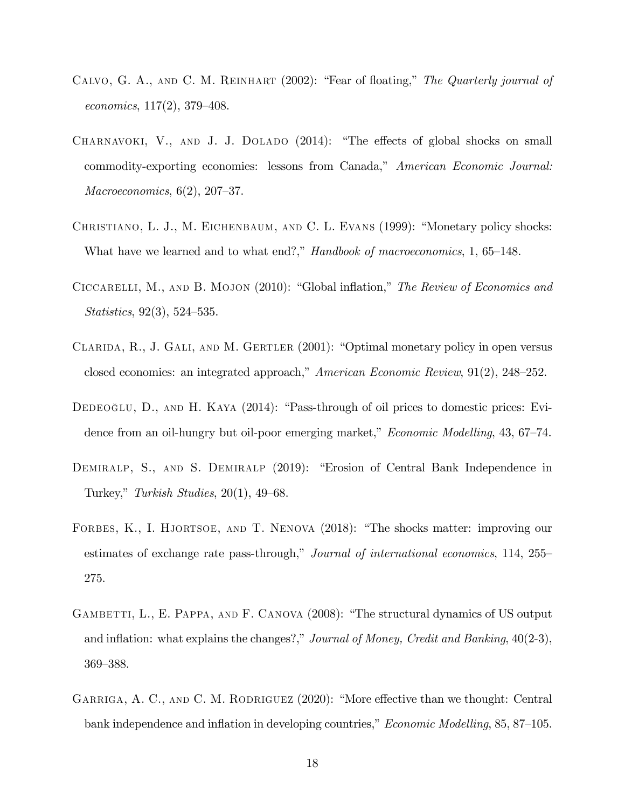- <span id="page-19-9"></span>CALVO, G. A., AND C. M. REINHART  $(2002)$ : "Fear of floating," The Quarterly journal of economics,  $117(2)$ ,  $379-408$ .
- <span id="page-19-2"></span>CHARNAVOKI, V., AND J. J. DOLADO  $(2014)$ : "The effects of global shocks on small commodity-exporting economies: lessons from Canada," American Economic Journal: Macroeconomics,  $6(2)$ ,  $207-37$ .
- <span id="page-19-3"></span>CHRISTIANO, L. J., M. EICHENBAUM, AND C. L. EVANS (1999): "Monetary policy shocks: What have we learned and to what end?," Handbook of macroeconomics, 1, 65–148.
- <span id="page-19-5"></span>CICCARELLI, M., AND B. MOJON  $(2010)$ : "Global inflation," The Review of Economics and  $Statistics, 92(3), 524–535.$
- <span id="page-19-8"></span>CLARIDA, R., J. GALI, AND M. GERTLER  $(2001)$ : "Optimal monetary policy in open versus closed economies: an integrated approach,"  $American Economic Review, 91(2), 248-252.$
- <span id="page-19-4"></span>DEDEOGLU, D., AND H. KAYA  $(2014)$ : "Pass-through of oil prices to domestic prices: Evidence from an oil-hungry but oil-poor emerging market," *Economic Modelling*,  $43, 67–74$ .
- <span id="page-19-0"></span>DEMIRALP, S., AND S. DEMIRALP (2019): "Erosion of Central Bank Independence in Turkey," Turkish Studies,  $20(1)$ ,  $49-68$ .
- <span id="page-19-7"></span>FORBES, K., I. HJORTSOE, AND T. NENOVA (2018): "The shocks matter: improving our estimates of exchange rate pass-through," Journal of international economics,  $114$ ,  $255$ 275.
- <span id="page-19-1"></span>GAMBETTI, L., E. PAPPA, AND F. CANOVA (2008): "The structural dynamics of US output and inflation: what explains the changes?," Journal of Money, Credit and Banking,  $40(2-3)$ , 369–388.
- <span id="page-19-6"></span>GARRIGA, A. C., AND C. M. RODRIGUEZ (2020): "More effective than we thought: Central bank independence and inflation in developing countries,"  $Economic Modelling$ , 85, 87–105.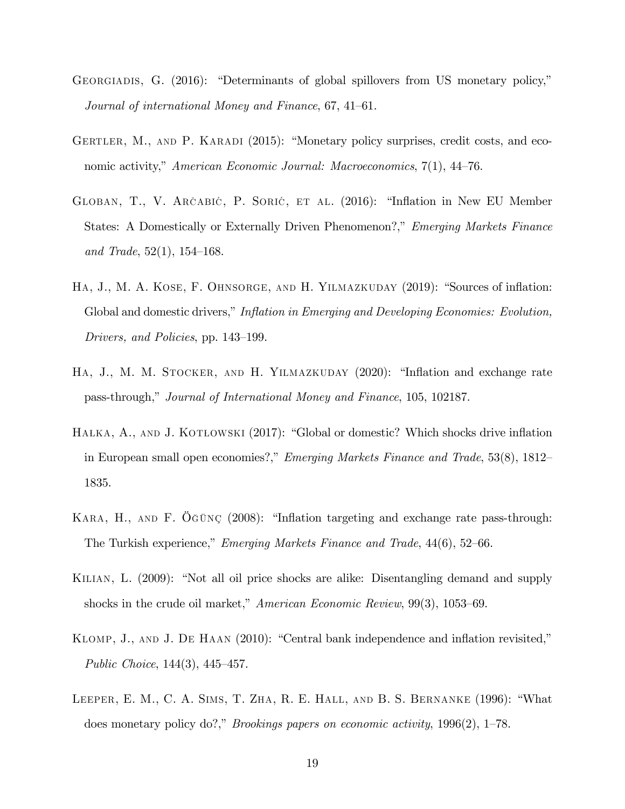- <span id="page-20-9"></span>GEORGIADIS, G.  $(2016)$ : "Determinants of global spillovers from US monetary policy," Journal of international Money and Finance, 67, 41–61.
- <span id="page-20-4"></span>GERTLER, M., AND P. KARADI  $(2015)$ : "Monetary policy surprises, credit costs, and economic activity," American Economic Journal: Macroeconomics,  $7(1)$ , 44–76.
- <span id="page-20-1"></span>GLOBAN, T., V. ARČABIĆ, P. SORIĆ, ET AL. (2016): "Inflation in New EU Member States: A Domestically or Externally Driven Phenomenon?," Emerging Markets Finance and Trade,  $52(1)$ ,  $154-168$ .
- <span id="page-20-0"></span>HA, J., M. A. KOSE, F. OHNSORGE, AND H. YILMAZKUDAY (2019): "Sources of inflation: Global and domestic drivers," Inflation in Emerging and Developing Economies: Evolution, Drivers, and Policies, pp. 143–199.
- <span id="page-20-7"></span>HA, J., M. M. STOCKER, AND H. YILMAZKUDAY (2020): "Inflation and exchange rate pass-through," Journal of International Money and Finance, 105, 102187.
- <span id="page-20-2"></span>HAŁKA, A., AND J. KOTŁOWSKI (2017): "Global or domestic? Which shocks drive inflation in European small open economies?," *Emerging Markets Finance and Trade*, 53 $(8)$ , 1812 $-$ 1835.
- <span id="page-20-5"></span>KARA, H., AND F.  $\tilde{\mathrm{O}}$ ĞÜNÇ (2008): "Inflation targeting and exchange rate pass-through: The Turkish experience," Emerging Markets Finance and Trade,  $44(6)$ , 52–66.
- <span id="page-20-8"></span>KILIAN, L. (2009): "Not all oil price shocks are alike: Disentangling demand and supply shocks in the crude oil market," American Economic Review,  $99(3)$ , 1053–69.
- <span id="page-20-6"></span>KLOMP, J., AND J. DE HAAN (2010): "Central bank independence and inflation revisited," Public Choice,  $144(3)$ ,  $445-457$ .
- <span id="page-20-3"></span>LEEPER, E. M., C. A. SIMS, T. ZHA, R. E. HALL, AND B. S. BERNANKE  $(1996)$ : "What does monetary policy do?," Brookings papers on economic activity,  $1996(2)$ , 1–78.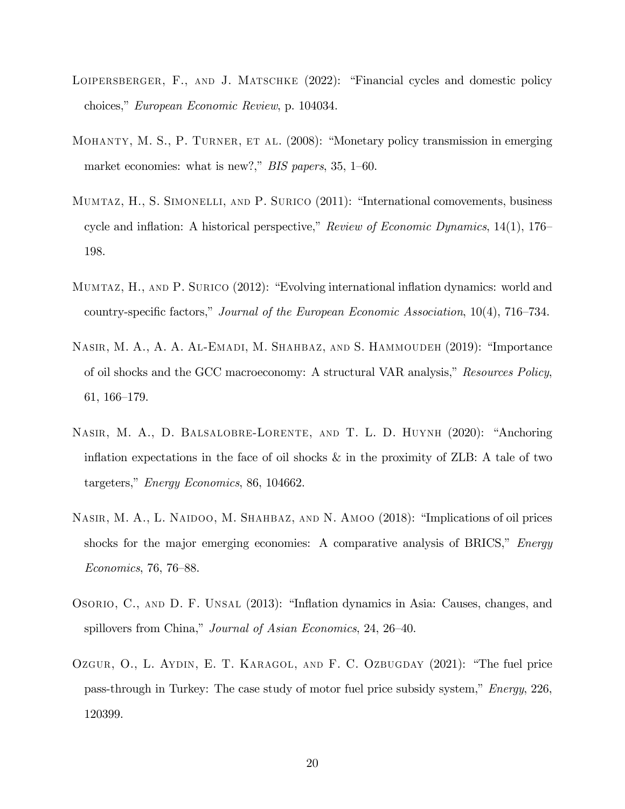- <span id="page-21-8"></span>LOIPERSBERGER, F., AND J. MATSCHKE  $(2022)$ : "Financial cycles and domestic policy choices," European Economic Review, p. 104034.
- <span id="page-21-4"></span>MOHANTY, M. S., P. TURNER, ET AL. (2008): "Monetary policy transmission in emerging market economies: what is new?," BIS papers, 35, 1–60.
- <span id="page-21-3"></span>MUMTAZ, H., S. SIMONELLI, AND P. SURICO (2011): "International comovements, business cycle and inflation: A historical perspective," Review of Economic Dynamics,  $14(1)$ ,  $176$ 198.
- <span id="page-21-0"></span>MUMTAZ, H., AND P. SURICO (2012): "Evolving international inflation dynamics: world and country-specific factors," Journal of the European Economic Association,  $10(4)$ , 716–734.
- <span id="page-21-6"></span>NASIR, M. A., A. A. AL-EMADI, M. SHAHBAZ, AND S. HAMMOUDEH (2019): "Importance of oil shocks and the GCC macroeconomy: A structural VAR analysis," Resources Policy,  $61, 166-179.$
- <span id="page-21-7"></span>NASIR, M. A., D. BALSALOBRE-LORENTE, AND T. L. D. HUYNH (2020): "Anchoring inflation expectations in the face of oil shocks  $\&$  in the proximity of ZLB: A tale of two targeters,"  $Energy Economics$ , 86, 104662.
- <span id="page-21-5"></span>NASIR, M. A., L. NAIDOO, M. SHAHBAZ, AND N. AMOO (2018): "Implications of oil prices shocks for the major emerging economies: A comparative analysis of BRICS," *Energy*  $Economics, 76, 76–88.$
- <span id="page-21-1"></span>OSORIO, C., AND D. F. UNSAL (2013): "Inflation dynamics in Asia: Causes, changes, and spillovers from China," Journal of Asian Economics, 24, 26–40.
- <span id="page-21-2"></span>OZGUR, O., L. AYDIN, E. T. KARAGOL, AND F. C. OZBUGDAY  $(2021)$ : "The fuel price pass-through in Turkey: The case study of motor fuel price subsidy system,"  $Energy, 226$ , 120399.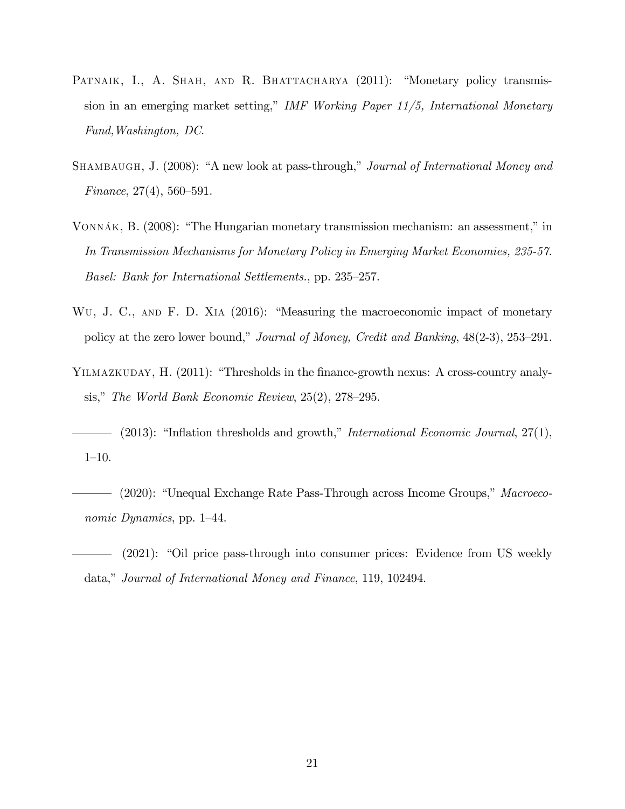- <span id="page-22-3"></span>PATNAIK, I., A. SHAH, AND R. BHATTACHARYA (2011): "Monetary policy transmission in an emerging market setting," IMF Working Paper  $11/5$ , International Monetary Fund,Washington, DC.
- <span id="page-22-5"></span>SHAMBAUGH, J. (2008): "A new look at pass-through," Journal of International Money and Finance,  $27(4)$ , 560–591.
- <span id="page-22-4"></span>VONNÁK, B.  $(2008)$ : "The Hungarian monetary transmission mechanism: an assessment," in In Transmission Mechanisms for Monetary Policy in Emerging Market Economies, 235-57. Basel: Bank for International Settlements., pp. 235–257.
- <span id="page-22-7"></span>WU, J. C., AND F. D. XIA (2016): "Measuring the macroeconomic impact of monetary policy at the zero lower bound," Journal of Money, Credit and Banking,  $48(2-3)$ ,  $253-291$ .
- <span id="page-22-0"></span>YILMAZKUDAY, H. (2011): "Thresholds in the finance-growth nexus: A cross-country analysis," The World Bank Economic Review,  $25(2)$ ,  $278-295$ .
- <span id="page-22-1"></span>(2013): "Inflation thresholds and growth," *International Economic Journal*, 27(1),  $1 - 10$ .
- <span id="page-22-2"></span>- (2020): "Unequal Exchange Rate Pass-Through across Income Groups," Macroeconomic Dynamics, pp. 1–44.
- <span id="page-22-6"></span> $(2021)$ : "Oil price pass-through into consumer prices: Evidence from US weekly data," Journal of International Money and Finance, 119, 102494.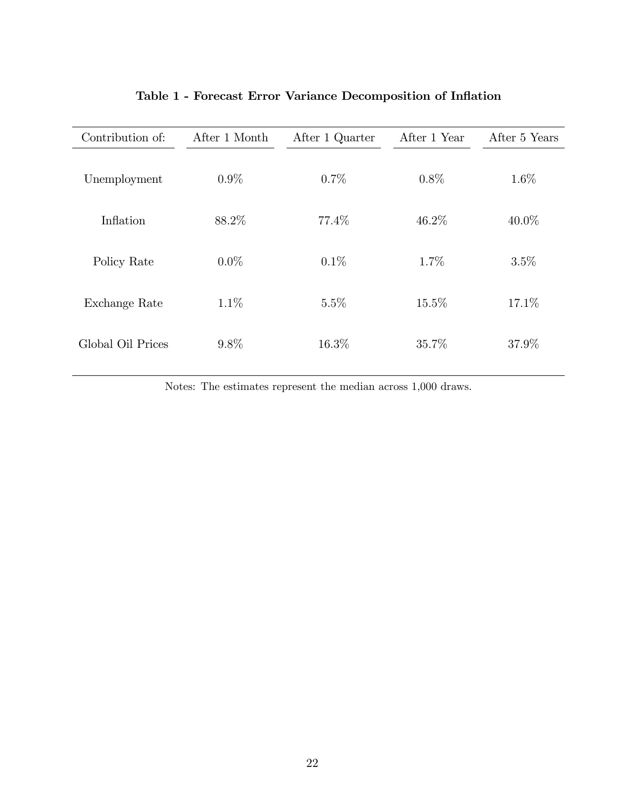| Contribution of:  | After 1 Month | After 1 Quarter | After 1 Year | After 5 Years |
|-------------------|---------------|-----------------|--------------|---------------|
| Unemployment      | $0.9\%$       | 0.7%            | $0.8\%$      | 1.6%          |
| Inflation         | 88.2%         | 77.4\%          | 46.2%        | $40.0\%$      |
| Policy Rate       | $0.0\%$       | $0.1\%$         | 1.7%         | 3.5%          |
| Exchange Rate     | $1.1\%$       | 5.5%            | 15.5%        | 17.1%         |
| Global Oil Prices | $9.8\%$       | 16.3%           | 35.7%        | 37.9%         |

### Table 1 - Forecast Error Variance Decomposition of Inflation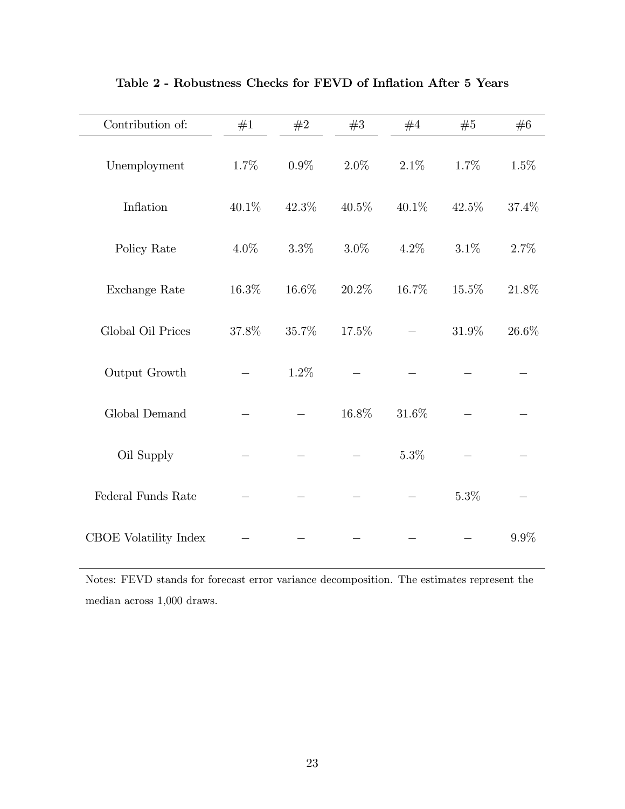| Contribution of:      | #1    | #2      | #3       | #4       | #5      | #6    |
|-----------------------|-------|---------|----------|----------|---------|-------|
| Unemployment          | 1.7%  | $0.9\%$ | $2.0\%$  | $2.1\%$  | 1.7%    | 1.5%  |
| Inflation             | 40.1% | 42.3%   | $40.5\%$ | 40.1%    | 42.5%   | 37.4% |
| Policy Rate           | 4.0%  | $3.3\%$ | $3.0\%$  | 4.2%     | $3.1\%$ | 2.7%  |
| Exchange Rate         | 16.3% | 16.6%   | 20.2%    | 16.7%    | 15.5%   | 21.8% |
| Global Oil Prices     | 37.8% | 35.7%   | 17.5%    |          | 31.9%   | 26.6% |
| Output Growth         |       | 1.2%    |          |          |         |       |
| Global Demand         |       |         | 16.8%    | $31.6\%$ |         |       |
| Oil Supply            |       |         |          | 5.3%     |         |       |
| Federal Funds Rate    |       |         |          |          | $5.3\%$ |       |
| CBOE Volatility Index |       |         |          |          |         | 9.9%  |

Table 2 - Robustness Checks for FEVD of Inflation After 5 Years

Notes: FEVD stands for forecast error variance decomposition. The estimates represent the median across 1,000 draws.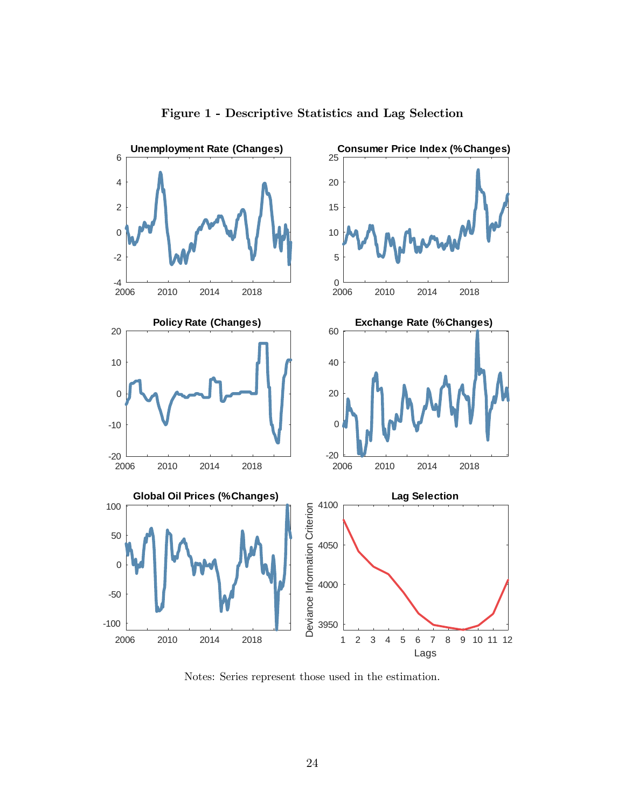

Figure 1 - Descriptive Statistics and Lag Selection

Notes: Series represent those used in the estimation.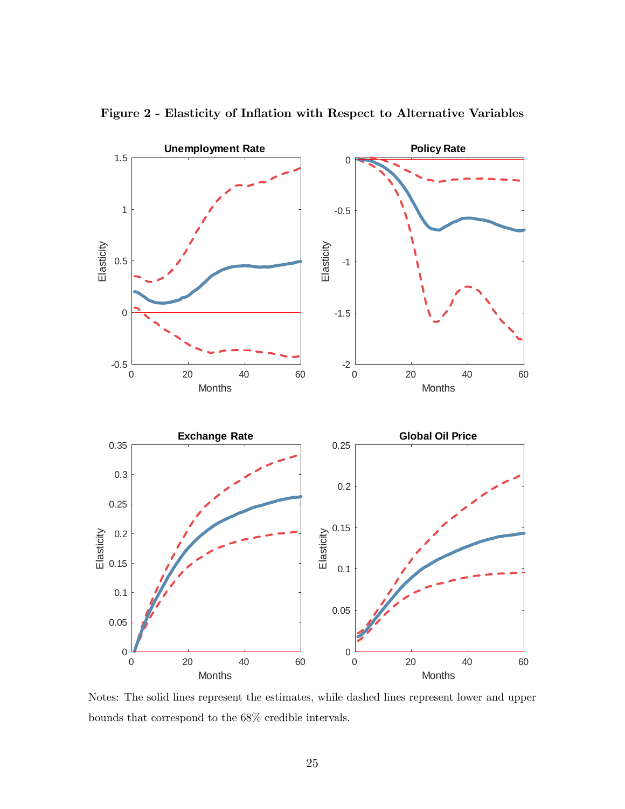

Figure 2 - Elasticity of Inflation with Respect to Alternative Variables

Notes: The solid lines represent the estimates, while dashed lines represent lower and upper bounds that correspond to the 68% credible intervals.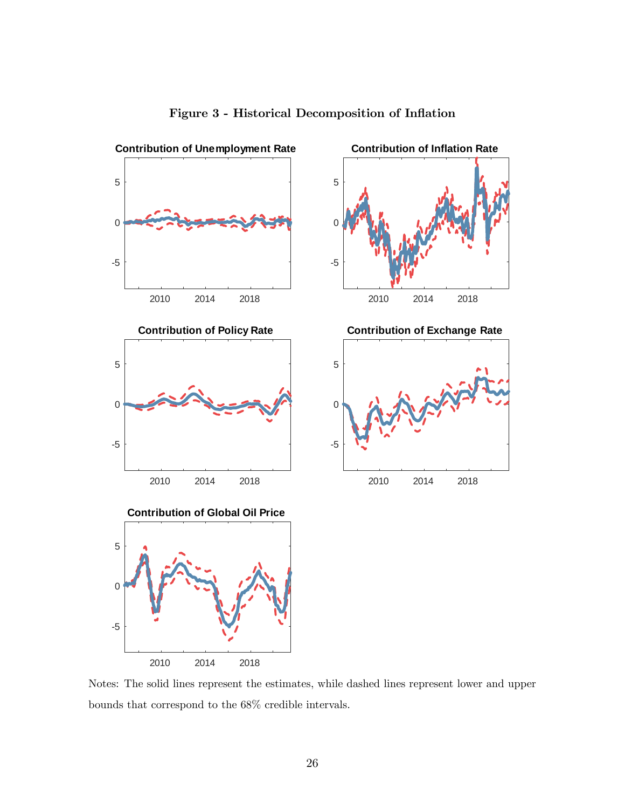

#### Figure 3 - Historical Decomposition of Inflation

Notes: The solid lines represent the estimates, while dashed lines represent lower and upper bounds that correspond to the 68% credible intervals.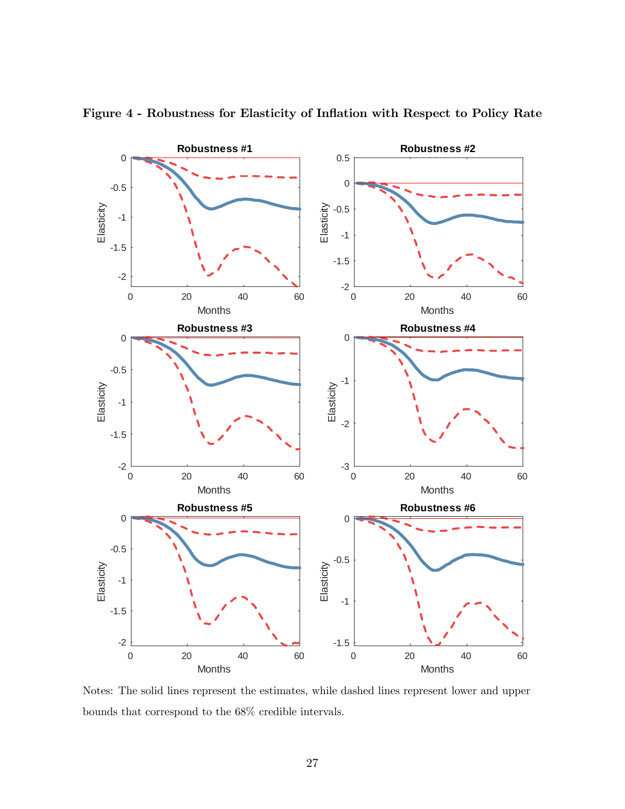

Figure 4 - Robustness for Elasticity of Inflation with Respect to Policy Rate

Notes: The solid lines represent the estimates, while dashed lines represent lower and upper bounds that correspond to the 68% credible intervals.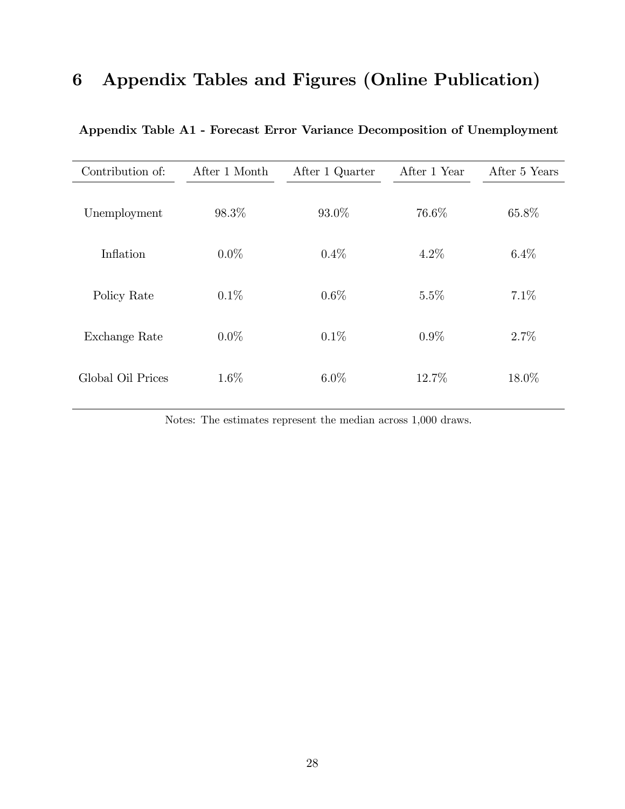## 6 Appendix Tables and Figures (Online Publication)

| Contribution of:  | After 1 Month | After 1 Quarter | After 1 Year | After 5 Years |
|-------------------|---------------|-----------------|--------------|---------------|
| Unemployment      | 98.3%         | 93.0%           | 76.6%        | 65.8%         |
| Inflation         | $0.0\%$       | $0.4\%$         | $4.2\%$      | $6.4\%$       |
| Policy Rate       | $0.1\%$       | $0.6\%$         | 5.5%         | $7.1\%$       |
| Exchange Rate     | $0.0\%$       | 0.1%            | $0.9\%$      | 2.7%          |
| Global Oil Prices | 1.6%          | $6.0\%$         | 12.7%        | 18.0%         |

Appendix Table A1 - Forecast Error Variance Decomposition of Unemployment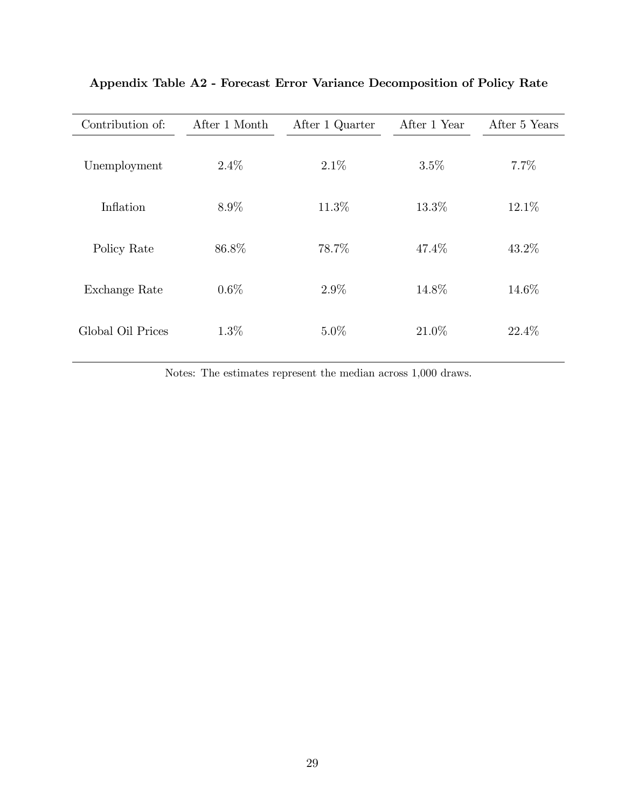| Contribution of:  | After 1 Month | After 1 Quarter | After 1 Year | After 5 Years |
|-------------------|---------------|-----------------|--------------|---------------|
| Unemployment      | $2.4\%$       | $2.1\%$         | 3.5%         | 7.7%          |
| Inflation         | $8.9\%$       | 11.3%           | 13.3%        | 12.1%         |
| Policy Rate       | 86.8%         | 78.7%           | 47.4%        | 43.2%         |
| Exchange Rate     | $0.6\%$       | $2.9\%$         | 14.8%        | 14.6%         |
| Global Oil Prices | $1.3\%$       | $5.0\%$         | 21.0%        | 22.4\%        |

Appendix Table A2 - Forecast Error Variance Decomposition of Policy Rate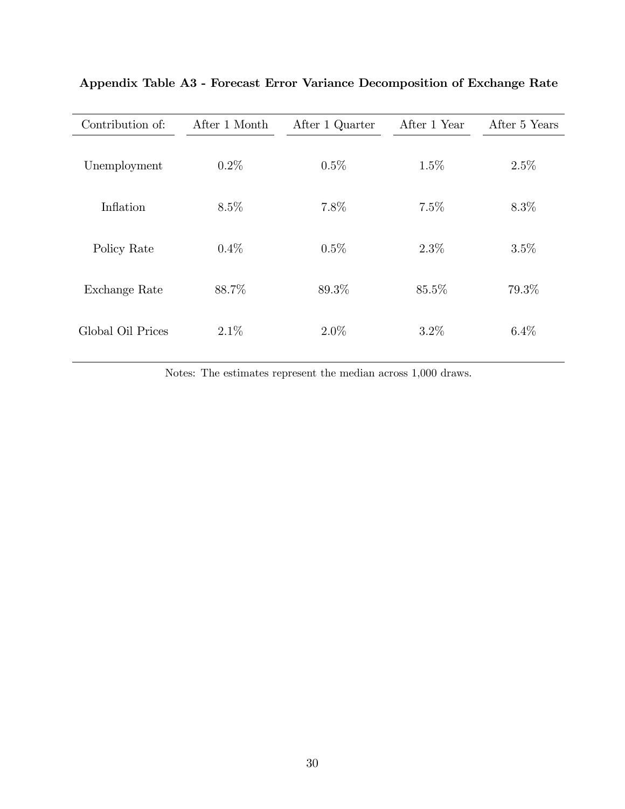| Contribution of:  | After 1 Month | After 1 Quarter | After 1 Year | After 5 Years |
|-------------------|---------------|-----------------|--------------|---------------|
| Unemployment      | $0.2\%$       | $0.5\%$         | $1.5\%$      | 2.5%          |
| Inflation         | $8.5\%$       | 7.8%            | $7.5\%$      | 8.3%          |
| Policy Rate       | $0.4\%$       | $0.5\%$         | $2.3\%$      | 3.5%          |
| Exchange Rate     | 88.7%         | 89.3%           | 85.5%        | 79.3%         |
| Global Oil Prices | $2.1\%$       | $2.0\%$         | $3.2\%$      | $6.4\%$       |

Appendix Table A3 - Forecast Error Variance Decomposition of Exchange Rate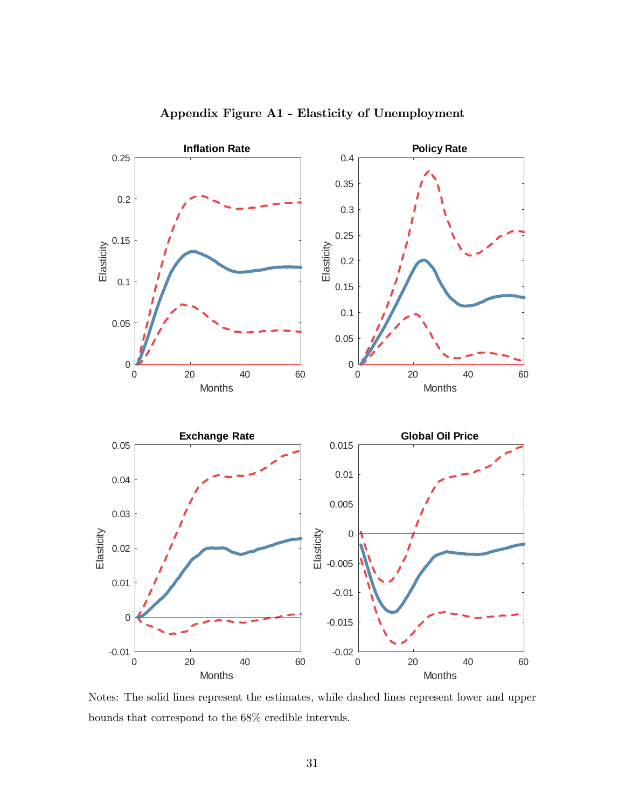

Appendix Figure A1 - Elasticity of Unemployment

Notes: The solid lines represent the estimates, while dashed lines represent lower and upper bounds that correspond to the 68% credible intervals.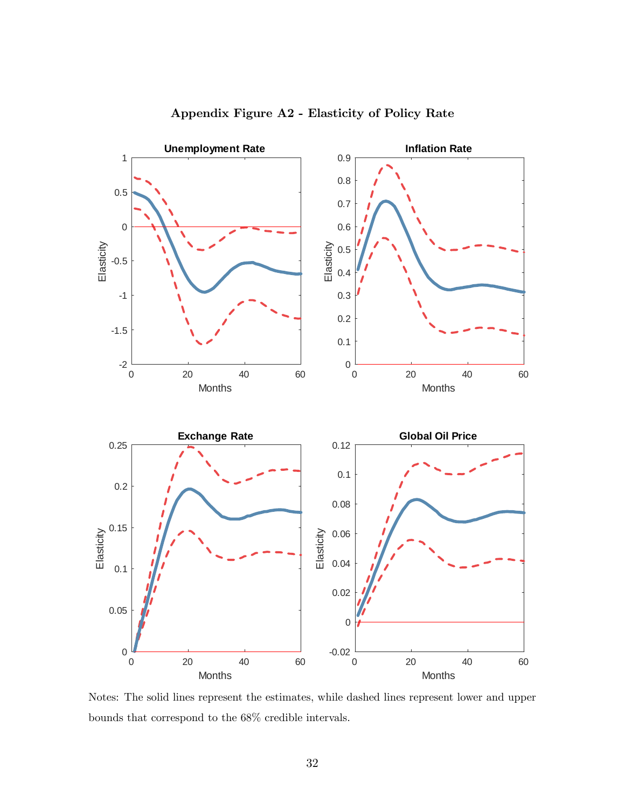

Appendix Figure A2 - Elasticity of Policy Rate

Notes: The solid lines represent the estimates, while dashed lines represent lower and upper bounds that correspond to the 68% credible intervals.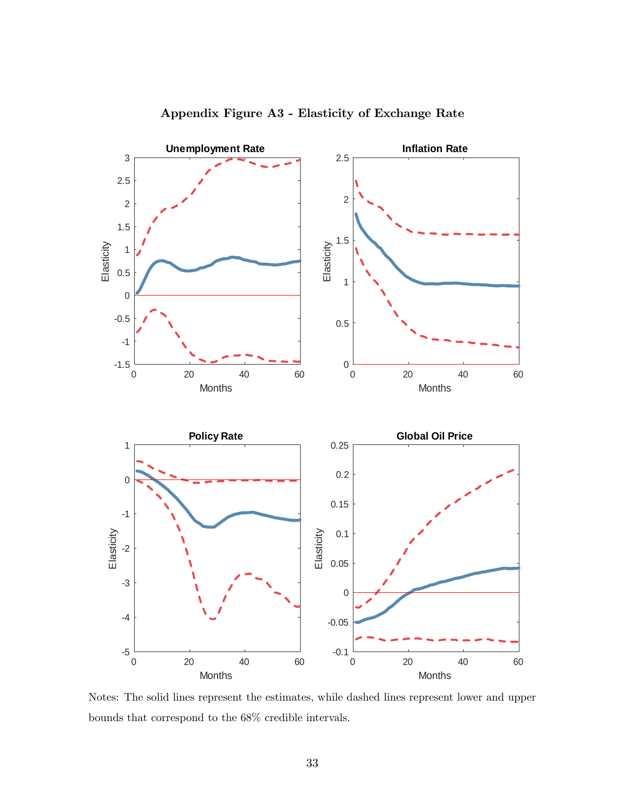

Appendix Figure A3 - Elasticity of Exchange Rate

Notes: The solid lines represent the estimates, while dashed lines represent lower and upper bounds that correspond to the 68% credible intervals.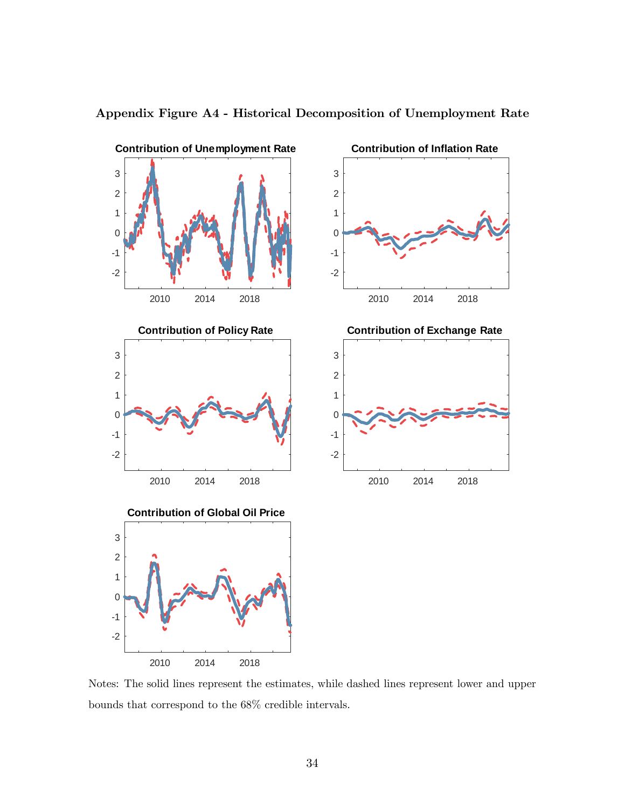

Appendix Figure A4 - Historical Decomposition of Unemployment Rate

Notes: The solid lines represent the estimates, while dashed lines represent lower and upper bounds that correspond to the 68% credible intervals.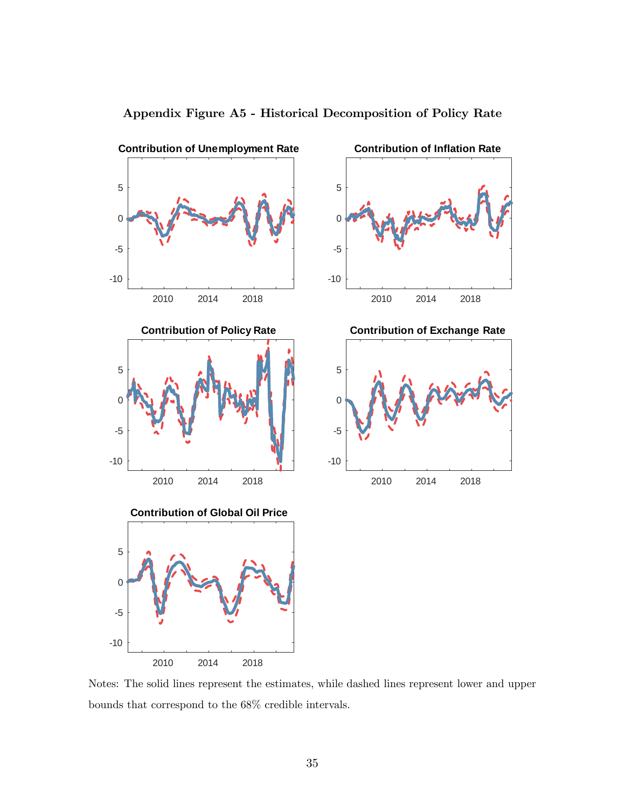

Appendix Figure A5 - Historical Decomposition of Policy Rate

Notes: The solid lines represent the estimates, while dashed lines represent lower and upper bounds that correspond to the 68% credible intervals.